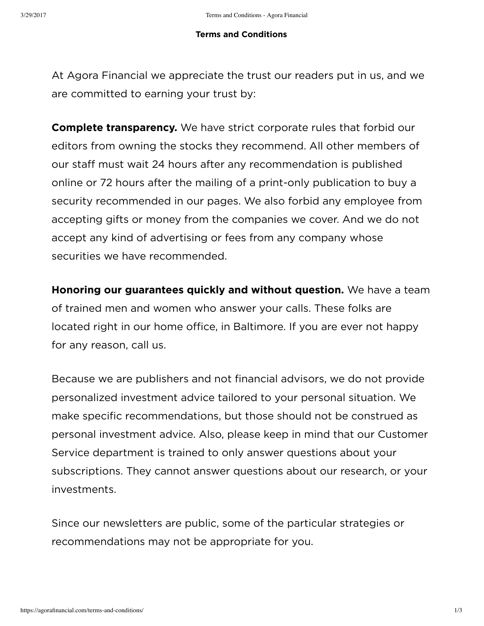## **Terms and Conditions**

At Agora Financial we appreciate the trust our readers put in us, and we are committed to earning your trust by:

**Complete transparency.** We have strict corporate rules that forbid our editors from owning the stocks they recommend. All other members of our staff must wait 24 hours after any recommendation is published online or 72 hours after the mailing of a print-only publication to buy a security recommended in our pages. We also forbid any employee from accepting gifts or money from the companies we cover. And we do not accept any kind of advertising or fees from any company whose securities we have recommended.

**Honoring our guarantees quickly and without question.** We have a team of trained men and women who answer your calls. These folks are located right in our home office, in Baltimore. If you are ever not happy for any reason, call us.

Because we are publishers and not financial advisors, we do not provide personalized investment advice tailored to your personal situation. We make specific recommendations, but those should not be construed as personal investment advice. Also, please keep in mind that our Customer Service department is trained to only answer questions about your subscriptions. They cannot answer questions about our research, or your investments.

Since our newsletters are public, some of the particular strategies or recommendations may not be appropriate for you.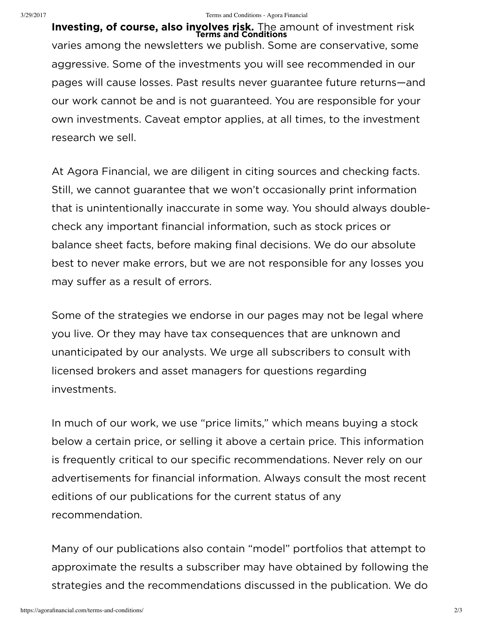**Investing, of course, also involves risk.** The amount of investment risk **Terms and Conditions**varies among the newsletters we publish. Some are conservative, some aggressive. Some of the investments you will see recommended in our pages will cause losses. Past results never guarantee future returns—and our work cannot be and is not guaranteed. You are responsible for your own investments. Caveat emptor applies, at all times, to the investment research we sell.

At Agora Financial, we are diligent in citing sources and checking facts. Still, we cannot guarantee that we won't occasionally print information that is unintentionally inaccurate in some way. You should always doublecheck any important financial information, such as stock prices or balance sheet facts, before making final decisions. We do our absolute best to never make errors, but we are not responsible for any losses you may suffer as a result of errors.

Some of the strategies we endorse in our pages may not be legal where you live. Or they may have tax consequences that are unknown and unanticipated by our analysts. We urge all subscribers to consult with licensed brokers and asset managers for questions regarding investments.

In much of our work, we use "price limits," which means buying a stock below a certain price, or selling it above a certain price. This information is frequently critical to our specific recommendations. Never rely on our advertisements for financial information. Always consult the most recent editions of our publications for the current status of any recommendation.

Many of our publications also contain "model" portfolios that attempt to approximate the results a subscriber may have obtained by following the strategies and the recommendations discussed in the publication. We do